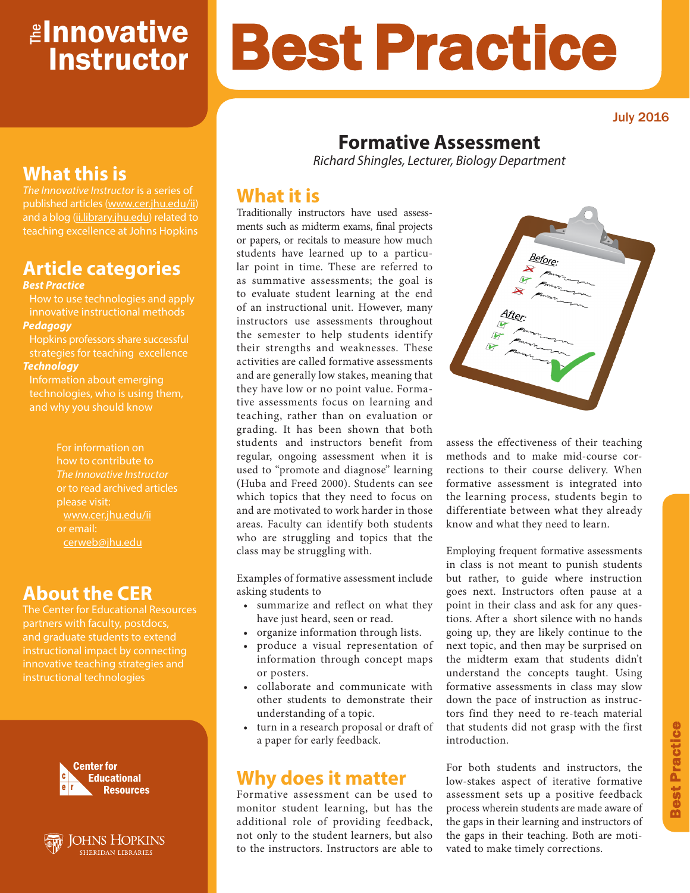# <mark>≇Innovative</mark> Instructor

July 2016

# **Formative Assessment**

Best Practice

*Richard Shingles, Lecturer, Biology Department*

## **What it is**

Traditionally instructors have used assessments such as midterm exams, final projects or papers, or recitals to measure how much students have learned up to a particular point in time. These are referred to as summative assessments; the goal is to evaluate student learning at the end of an instructional unit. However, many instructors use assessments throughout the semester to help students identify their strengths and weaknesses. These activities are called formative assessments and are generally low stakes, meaning that they have low or no point value. Formative assessments focus on learning and teaching, rather than on evaluation or grading. It has been shown that both students and instructors benefit from regular, ongoing assessment when it is used to "promote and diagnose" learning (Huba and Freed 2000). Students can see which topics that they need to focus on and are motivated to work harder in those areas. Faculty can identify both students who are struggling and topics that the class may be struggling with.

Examples of formative assessment include asking students to

- summarize and reflect on what they have just heard, seen or read.
- organize information through lists.
- produce a visual representation of information through concept maps or posters.
- collaborate and communicate with other students to demonstrate their understanding of a topic.
- turn in a research proposal or draft of a paper for early feedback.

### **Why does it matter**

Formative assessment can be used to monitor student learning, but has the additional role of providing feedback, not only to the student learners, but also to the instructors. Instructors are able to

assess the effectiveness of their teaching methods and to make mid-course corrections to their course delivery. When formative assessment is integrated into the learning process, students begin to differentiate between what they already know and what they need to learn.

Employing frequent formative assessments in class is not meant to punish students but rather, to guide where instruction goes next. Instructors often pause at a point in their class and ask for any questions. After a short silence with no hands going up, they are likely continue to the next topic, and then may be surprised on the midterm exam that students didn't understand the concepts taught. Using formative assessments in class may slow down the pace of instruction as instructors find they need to re-teach material that students did not grasp with the first introduction.

For both students and instructors, the low-stakes aspect of iterative formative assessment sets up a positive feedback process wherein students are made aware of the gaps in their learning and instructors of the gaps in their teaching. Both are motivated to make timely corrections.

# **What this is**

*The Innovative Instructor* is a series of published articles (www.cer.jhu.edu/ii) and a blog (ii.library.jhu.edu) related to teaching excellence at Johns Hopkins

# **Article categories**

#### *Best Practice*

How to use technologies and apply innovative instructional methods *Pedagogy*

Hopkins professors share successful strategies for teaching excellence *Technology*

Information about emerging technologies, who is using them, and why you should know

> For information on how to contribute to *The Innovative Instructor* or to read archived articles please visit: www.cer.jhu.edu/ii or email: cerweb@jhu.edu

### **About the CER**

The Center for Educational Resources and graduate students to extend innovative teaching strategies and instructional technologies







After.